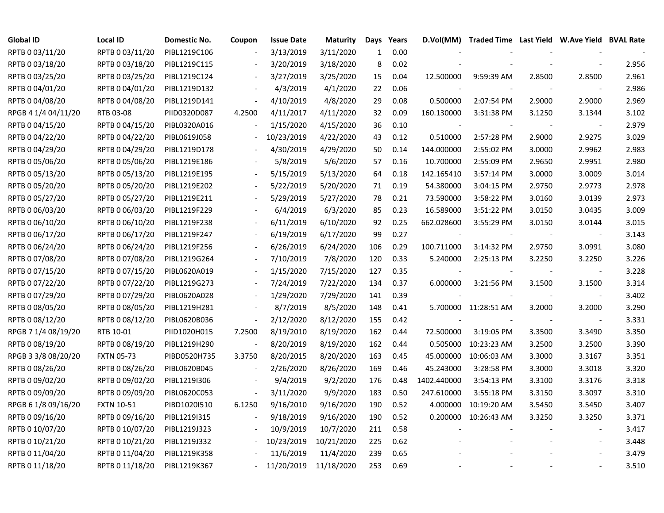| <b>Global ID</b>    | <b>Local ID</b>   | Domestic No. | Coupon                   | <b>Issue Date</b> | <b>Maturity</b> | Days         | Years |             | D.Vol(MM) Traded Time Last Yield W.Ave Yield BVAL Rate |        |                          |       |
|---------------------|-------------------|--------------|--------------------------|-------------------|-----------------|--------------|-------|-------------|--------------------------------------------------------|--------|--------------------------|-------|
| RPTB 0 03/11/20     | RPTB 0 03/11/20   | PIBL1219C106 |                          | 3/13/2019         | 3/11/2020       | $\mathbf{1}$ | 0.00  |             |                                                        |        |                          |       |
| RPTB 0 03/18/20     | RPTB 0 03/18/20   | PIBL1219C115 |                          | 3/20/2019         | 3/18/2020       | 8            | 0.02  |             |                                                        |        |                          | 2.956 |
| RPTB 0 03/25/20     | RPTB 0 03/25/20   | PIBL1219C124 |                          | 3/27/2019         | 3/25/2020       | 15           | 0.04  | 12.500000   | 9:59:39 AM                                             | 2.8500 | 2.8500                   | 2.961 |
| RPTB 0 04/01/20     | RPTB 0 04/01/20   | PIBL1219D132 |                          | 4/3/2019          | 4/1/2020        | 22           | 0.06  |             |                                                        |        |                          | 2.986 |
| RPTB 0 04/08/20     | RPTB 0 04/08/20   | PIBL1219D141 | $\overline{\phantom{a}}$ | 4/10/2019         | 4/8/2020        | 29           | 0.08  | 0.500000    | 2:07:54 PM                                             | 2.9000 | 2.9000                   | 2.969 |
| RPGB 4 1/4 04/11/20 | RTB 03-08         | PIID0320D087 | 4.2500                   | 4/11/2017         | 4/11/2020       | 32           | 0.09  | 160.130000  | 3:31:38 PM                                             | 3.1250 | 3.1344                   | 3.102 |
| RPTB 0 04/15/20     | RPTB 0 04/15/20   | PIBL0320A016 | $\frac{1}{2}$            | 1/15/2020         | 4/15/2020       | 36           | 0.10  |             |                                                        |        |                          | 2.979 |
| RPTB 0 04/22/20     | RPTB 0 04/22/20   | PIBL0619J058 |                          | 10/23/2019        | 4/22/2020       | 43           | 0.12  | 0.510000    | 2:57:28 PM                                             | 2.9000 | 2.9275                   | 3.029 |
| RPTB 0 04/29/20     | RPTB 0 04/29/20   | PIBL1219D178 |                          | 4/30/2019         | 4/29/2020       | 50           | 0.14  | 144.000000  | 2:55:02 PM                                             | 3.0000 | 2.9962                   | 2.983 |
| RPTB 0 05/06/20     | RPTB 0 05/06/20   | PIBL1219E186 |                          | 5/8/2019          | 5/6/2020        | 57           | 0.16  | 10.700000   | 2:55:09 PM                                             | 2.9650 | 2.9951                   | 2.980 |
| RPTB 0 05/13/20     | RPTB 0 05/13/20   | PIBL1219E195 |                          | 5/15/2019         | 5/13/2020       | 64           | 0.18  | 142.165410  | 3:57:14 PM                                             | 3.0000 | 3.0009                   | 3.014 |
| RPTB 0 05/20/20     | RPTB 0 05/20/20   | PIBL1219E202 |                          | 5/22/2019         | 5/20/2020       | 71           | 0.19  | 54.380000   | 3:04:15 PM                                             | 2.9750 | 2.9773                   | 2.978 |
| RPTB 0 05/27/20     | RPTB 0 05/27/20   | PIBL1219E211 |                          | 5/29/2019         | 5/27/2020       | 78           | 0.21  | 73.590000   | 3:58:22 PM                                             | 3.0160 | 3.0139                   | 2.973 |
| RPTB 0 06/03/20     | RPTB 0 06/03/20   | PIBL1219F229 |                          | 6/4/2019          | 6/3/2020        | 85           | 0.23  | 16.589000   | 3:51:22 PM                                             | 3.0150 | 3.0435                   | 3.009 |
| RPTB 0 06/10/20     | RPTB 0 06/10/20   | PIBL1219F238 |                          | 6/11/2019         | 6/10/2020       | 92           | 0.25  | 662.028600  | 3:55:29 PM                                             | 3.0150 | 3.0144                   | 3.015 |
| RPTB 0 06/17/20     | RPTB 0 06/17/20   | PIBL1219F247 |                          | 6/19/2019         | 6/17/2020       | 99           | 0.27  |             |                                                        |        |                          | 3.143 |
| RPTB 0 06/24/20     | RPTB 0 06/24/20   | PIBL1219F256 |                          | 6/26/2019         | 6/24/2020       | 106          | 0.29  | 100.711000  | 3:14:32 PM                                             | 2.9750 | 3.0991                   | 3.080 |
| RPTB 0 07/08/20     | RPTB 0 07/08/20   | PIBL1219G264 | $\overline{\phantom{a}}$ | 7/10/2019         | 7/8/2020        | 120          | 0.33  | 5.240000    | 2:25:13 PM                                             | 3.2250 | 3.2250                   | 3.226 |
| RPTB 0 07/15/20     | RPTB 0 07/15/20   | PIBL0620A019 | $\sim$                   | 1/15/2020         | 7/15/2020       | 127          | 0.35  |             |                                                        |        | $\overline{\phantom{a}}$ | 3.228 |
| RPTB 0 07/22/20     | RPTB 0 07/22/20   | PIBL1219G273 | $\overline{\phantom{a}}$ | 7/24/2019         | 7/22/2020       | 134          | 0.37  | 6.000000    | 3:21:56 PM                                             | 3.1500 | 3.1500                   | 3.314 |
| RPTB 0 07/29/20     | RPTB 0 07/29/20   | PIBL0620A028 |                          | 1/29/2020         | 7/29/2020       | 141          | 0.39  |             |                                                        |        | $\overline{\phantom{a}}$ | 3.402 |
| RPTB 0 08/05/20     | RPTB 0 08/05/20   | PIBL1219H281 |                          | 8/7/2019          | 8/5/2020        | 148          | 0.41  |             | 5.700000 11:28:51 AM                                   | 3.2000 | 3.2000                   | 3.290 |
| RPTB 0 08/12/20     | RPTB 0 08/12/20   | PIBL0620B036 | $\blacksquare$           | 2/12/2020         | 8/12/2020       | 155          | 0.42  |             |                                                        |        | $\overline{\phantom{a}}$ | 3.331 |
| RPGB 7 1/4 08/19/20 | RTB 10-01         | PIID1020H015 | 7.2500                   | 8/19/2010         | 8/19/2020       | 162          | 0.44  | 72.500000   | 3:19:05 PM                                             | 3.3500 | 3.3490                   | 3.350 |
| RPTB 0 08/19/20     | RPTB 0 08/19/20   | PIBL1219H290 | $\overline{\phantom{a}}$ | 8/20/2019         | 8/19/2020       | 162          | 0.44  | 0.505000    | 10:23:23 AM                                            | 3.2500 | 3.2500                   | 3.390 |
| RPGB 3 3/8 08/20/20 | <b>FXTN 05-73</b> | PIBD0520H735 | 3.3750                   | 8/20/2015         | 8/20/2020       | 163          | 0.45  | 45.000000   | 10:06:03 AM                                            | 3.3000 | 3.3167                   | 3.351 |
| RPTB 0 08/26/20     | RPTB 0 08/26/20   | PIBL0620B045 | $\overline{\phantom{a}}$ | 2/26/2020         | 8/26/2020       | 169          | 0.46  | 45.243000   | 3:28:58 PM                                             | 3.3000 | 3.3018                   | 3.320 |
| RPTB 0 09/02/20     | RPTB 0 09/02/20   | PIBL1219I306 |                          | 9/4/2019          | 9/2/2020        | 176          | 0.48  | 1402.440000 | 3:54:13 PM                                             | 3.3100 | 3.3176                   | 3.318 |
| RPTB 0 09/09/20     | RPTB 0 09/09/20   | PIBL0620C053 |                          | 3/11/2020         | 9/9/2020        | 183          | 0.50  | 247.610000  | 3:55:18 PM                                             | 3.3150 | 3.3097                   | 3.310 |
| RPGB 6 1/8 09/16/20 | <b>FXTN 10-51</b> | PIBD1020I510 | 6.1250                   | 9/16/2010         | 9/16/2020       | 190          | 0.52  | 4.000000    | 10:19:20 AM                                            | 3.5450 | 3.5450                   | 3.407 |
| RPTB 0 09/16/20     | RPTB 0 09/16/20   | PIBL1219I315 |                          | 9/18/2019         | 9/16/2020       | 190          | 0.52  | 0.200000    | 10:26:43 AM                                            | 3.3250 | 3.3250                   | 3.371 |
| RPTB 0 10/07/20     | RPTB 0 10/07/20   | PIBL1219J323 | $\frac{1}{2}$            | 10/9/2019         | 10/7/2020       | 211          | 0.58  |             |                                                        |        | $\overline{a}$           | 3.417 |
| RPTB 0 10/21/20     | RPTB 0 10/21/20   | PIBL1219J332 | $\blacksquare$           | 10/23/2019        | 10/21/2020      | 225          | 0.62  |             |                                                        |        |                          | 3.448 |
| RPTB 0 11/04/20     | RPTB 0 11/04/20   | PIBL1219K358 |                          | 11/6/2019         | 11/4/2020       | 239          | 0.65  |             |                                                        |        |                          | 3.479 |
| RPTB 0 11/18/20     | RPTB 0 11/18/20   | PIBL1219K367 |                          | 11/20/2019        | 11/18/2020      | 253          | 0.69  |             |                                                        |        |                          | 3.510 |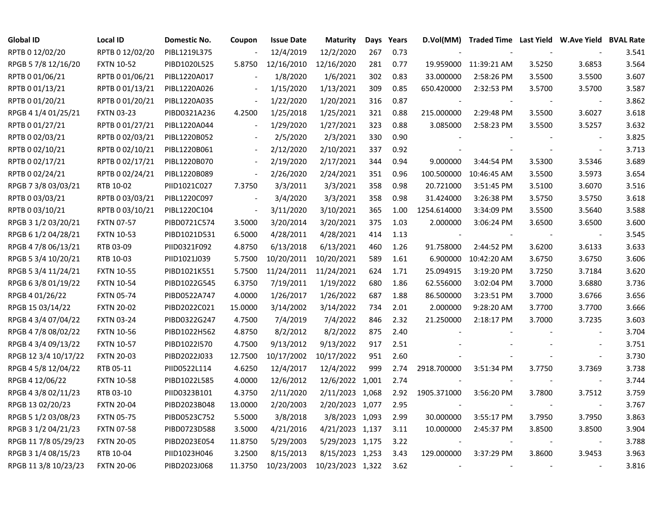| <b>Global ID</b>     | <b>Local ID</b>   | Domestic No. | Coupon                   | <b>Issue Date</b> | <b>Maturity</b>  | Days | Years | D.Vol(MM)   | Traded Time Last Yield W.Ave Yield BVAL Rate |        |                          |       |
|----------------------|-------------------|--------------|--------------------------|-------------------|------------------|------|-------|-------------|----------------------------------------------|--------|--------------------------|-------|
| RPTB 0 12/02/20      | RPTB 0 12/02/20   | PIBL1219L375 |                          | 12/4/2019         | 12/2/2020        | 267  | 0.73  |             |                                              |        |                          | 3.541 |
| RPGB 5 7/8 12/16/20  | <b>FXTN 10-52</b> | PIBD1020L525 | 5.8750                   | 12/16/2010        | 12/16/2020       | 281  | 0.77  |             | 19.959000 11:39:21 AM                        | 3.5250 | 3.6853                   | 3.564 |
| RPTB 0 01/06/21      | RPTB 0 01/06/21   | PIBL1220A017 |                          | 1/8/2020          | 1/6/2021         | 302  | 0.83  | 33.000000   | 2:58:26 PM                                   | 3.5500 | 3.5500                   | 3.607 |
| RPTB 0 01/13/21      | RPTB 0 01/13/21   | PIBL1220A026 |                          | 1/15/2020         | 1/13/2021        | 309  | 0.85  | 650.420000  | 2:32:53 PM                                   | 3.5700 | 3.5700                   | 3.587 |
| RPTB 0 01/20/21      | RPTB 0 01/20/21   | PIBL1220A035 | $\overline{\phantom{a}}$ | 1/22/2020         | 1/20/2021        | 316  | 0.87  |             |                                              |        |                          | 3.862 |
| RPGB 4 1/4 01/25/21  | <b>FXTN 03-23</b> | PIBD0321A236 | 4.2500                   | 1/25/2018         | 1/25/2021        | 321  | 0.88  | 215.000000  | 2:29:48 PM                                   | 3.5500 | 3.6027                   | 3.618 |
| RPTB 0 01/27/21      | RPTB 0 01/27/21   | PIBL1220A044 | $\overline{\phantom{a}}$ | 1/29/2020         | 1/27/2021        | 323  | 0.88  | 3.085000    | 2:58:23 PM                                   | 3.5500 | 3.5257                   | 3.632 |
| RPTB 0 02/03/21      | RPTB 0 02/03/21   | PIBL1220B052 |                          | 2/5/2020          | 2/3/2021         | 330  | 0.90  |             |                                              |        |                          | 3.825 |
| RPTB 0 02/10/21      | RPTB 0 02/10/21   | PIBL1220B061 | $\blacksquare$           | 2/12/2020         | 2/10/2021        | 337  | 0.92  |             |                                              |        | $\overline{\phantom{a}}$ | 3.713 |
| RPTB 0 02/17/21      | RPTB 0 02/17/21   | PIBL1220B070 | $\overline{\phantom{a}}$ | 2/19/2020         | 2/17/2021        | 344  | 0.94  | 9.000000    | 3:44:54 PM                                   | 3.5300 | 3.5346                   | 3.689 |
| RPTB 0 02/24/21      | RPTB 0 02/24/21   | PIBL1220B089 | $\overline{\phantom{a}}$ | 2/26/2020         | 2/24/2021        | 351  | 0.96  | 100.500000  | 10:46:45 AM                                  | 3.5500 | 3.5973                   | 3.654 |
| RPGB 7 3/8 03/03/21  | RTB 10-02         | PIID1021C027 | 7.3750                   | 3/3/2011          | 3/3/2021         | 358  | 0.98  | 20.721000   | 3:51:45 PM                                   | 3.5100 | 3.6070                   | 3.516 |
| RPTB 0 03/03/21      | RPTB 0 03/03/21   | PIBL1220C097 | $\overline{\phantom{a}}$ | 3/4/2020          | 3/3/2021         | 358  | 0.98  | 31.424000   | 3:26:38 PM                                   | 3.5750 | 3.5750                   | 3.618 |
| RPTB 0 03/10/21      | RPTB 0 03/10/21   | PIBL1220C104 | $\overline{\phantom{a}}$ | 3/11/2020         | 3/10/2021        | 365  | 1.00  | 1254.614000 | 3:34:09 PM                                   | 3.5500 | 3.5640                   | 3.588 |
| RPGB 3 1/2 03/20/21  | <b>FXTN 07-57</b> | PIBD0721C574 | 3.5000                   | 3/20/2014         | 3/20/2021        | 375  | 1.03  | 2.000000    | 3:06:24 PM                                   | 3.6500 | 3.6500                   | 3.600 |
| RPGB 6 1/2 04/28/21  | <b>FXTN 10-53</b> | PIBD1021D531 | 6.5000                   | 4/28/2011         | 4/28/2021        | 414  | 1.13  |             |                                              |        |                          | 3.545 |
| RPGB 4 7/8 06/13/21  | RTB 03-09         | PIID0321F092 | 4.8750                   | 6/13/2018         | 6/13/2021        | 460  | 1.26  | 91.758000   | 2:44:52 PM                                   | 3.6200 | 3.6133                   | 3.633 |
| RPGB 5 3/4 10/20/21  | RTB 10-03         | PIID1021J039 | 5.7500                   | 10/20/2011        | 10/20/2021       | 589  | 1.61  | 6.900000    | 10:42:20 AM                                  | 3.6750 | 3.6750                   | 3.606 |
| RPGB 5 3/4 11/24/21  | <b>FXTN 10-55</b> | PIBD1021K551 | 5.7500                   | 11/24/2011        | 11/24/2021       | 624  | 1.71  | 25.094915   | 3:19:20 PM                                   | 3.7250 | 3.7184                   | 3.620 |
| RPGB 6 3/8 01/19/22  | <b>FXTN 10-54</b> | PIBD1022G545 | 6.3750                   | 7/19/2011         | 1/19/2022        | 680  | 1.86  | 62.556000   | 3:02:04 PM                                   | 3.7000 | 3.6880                   | 3.736 |
| RPGB 4 01/26/22      | <b>FXTN 05-74</b> | PIBD0522A747 | 4.0000                   | 1/26/2017         | 1/26/2022        | 687  | 1.88  | 86.500000   | 3:23:51 PM                                   | 3.7000 | 3.6766                   | 3.656 |
| RPGB 15 03/14/22     | <b>FXTN 20-02</b> | PIBD2022C021 | 15.0000                  | 3/14/2002         | 3/14/2022        | 734  | 2.01  | 2.000000    | 9:28:20 AM                                   | 3.7700 | 3.7700                   | 3.666 |
| RPGB 4 3/4 07/04/22  | <b>FXTN 03-24</b> | PIBD0322G247 | 4.7500                   | 7/4/2019          | 7/4/2022         | 846  | 2.32  | 21.250000   | 2:18:17 PM                                   | 3.7000 | 3.7235                   | 3.603 |
| RPGB 4 7/8 08/02/22  | <b>FXTN 10-56</b> | PIBD1022H562 | 4.8750                   | 8/2/2012          | 8/2/2022         | 875  | 2.40  |             |                                              |        |                          | 3.704 |
| RPGB 4 3/4 09/13/22  | <b>FXTN 10-57</b> | PIBD1022I570 | 4.7500                   | 9/13/2012         | 9/13/2022        | 917  | 2.51  |             |                                              |        | $\overline{\phantom{a}}$ | 3.751 |
| RPGB 12 3/4 10/17/22 | <b>FXTN 20-03</b> | PIBD2022J033 | 12.7500                  | 10/17/2002        | 10/17/2022       | 951  | 2.60  |             |                                              |        |                          | 3.730 |
| RPGB 4 5/8 12/04/22  | RTB 05-11         | PIID0522L114 | 4.6250                   | 12/4/2017         | 12/4/2022        | 999  | 2.74  | 2918.700000 | 3:51:34 PM                                   | 3.7750 | 3.7369                   | 3.738 |
| RPGB 4 12/06/22      | <b>FXTN 10-58</b> | PIBD1022L585 | 4.0000                   | 12/6/2012         | 12/6/2022 1,001  |      | 2.74  |             |                                              |        |                          | 3.744 |
| RPGB 4 3/8 02/11/23  | RTB 03-10         | PIID0323B101 | 4.3750                   | 2/11/2020         | 2/11/2023 1,068  |      | 2.92  | 1905.371000 | 3:56:20 PM                                   | 3.7800 | 3.7512                   | 3.759 |
| RPGB 13 02/20/23     | <b>FXTN 20-04</b> | PIBD2023B048 | 13.0000                  | 2/20/2003         | 2/20/2023 1,077  |      | 2.95  |             |                                              |        |                          | 3.767 |
| RPGB 5 1/2 03/08/23  | <b>FXTN 05-75</b> | PIBD0523C752 | 5.5000                   | 3/8/2018          | 3/8/2023 1,093   |      | 2.99  | 30.000000   | 3:55:17 PM                                   | 3.7950 | 3.7950                   | 3.863 |
| RPGB 3 1/2 04/21/23  | <b>FXTN 07-58</b> | PIBD0723D588 | 3.5000                   | 4/21/2016         | 4/21/2023 1,137  |      | 3.11  | 10.000000   | 2:45:37 PM                                   | 3.8500 | 3.8500                   | 3.904 |
| RPGB 11 7/8 05/29/23 | <b>FXTN 20-05</b> | PIBD2023E054 | 11.8750                  | 5/29/2003         | 5/29/2023 1,175  |      | 3.22  |             |                                              |        |                          | 3.788 |
| RPGB 3 1/4 08/15/23  | RTB 10-04         | PIID1023H046 | 3.2500                   | 8/15/2013         | 8/15/2023 1,253  |      | 3.43  | 129.000000  | 3:37:29 PM                                   | 3.8600 | 3.9453                   | 3.963 |
| RPGB 11 3/8 10/23/23 | <b>FXTN 20-06</b> | PIBD2023J068 | 11.3750                  | 10/23/2003        | 10/23/2023 1,322 |      | 3.62  | $\sim$      | $\overline{\phantom{a}}$                     |        |                          | 3.816 |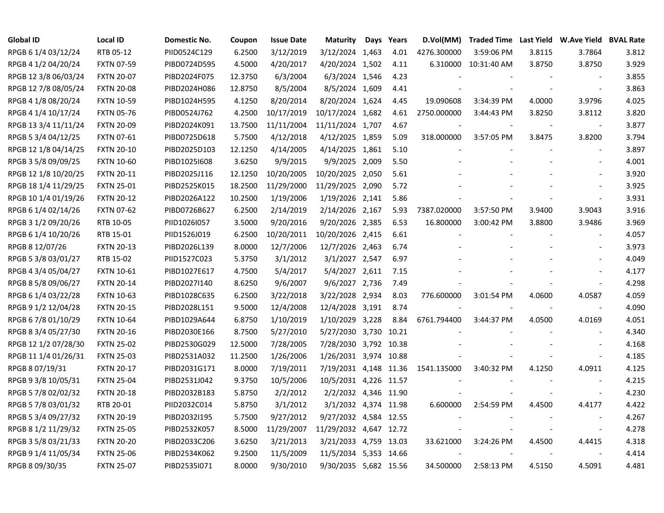| <b>Global ID</b>     | <b>Local ID</b>   | <b>Domestic No.</b> | Coupon  | <b>Issue Date</b> | <b>Maturity</b>        | Days | Years | D.Vol(MM)   |                      |        | Traded Time Last Yield W.Ave Yield BVAL Rate |       |
|----------------------|-------------------|---------------------|---------|-------------------|------------------------|------|-------|-------------|----------------------|--------|----------------------------------------------|-------|
| RPGB 6 1/4 03/12/24  | RTB 05-12         | PIID0524C129        | 6.2500  | 3/12/2019         | 3/12/2024 1,463        |      | 4.01  | 4276.300000 | 3:59:06 PM           | 3.8115 | 3.7864                                       | 3.812 |
| RPGB 4 1/2 04/20/24  | <b>FXTN 07-59</b> | PIBD0724D595        | 4.5000  | 4/20/2017         | 4/20/2024 1,502        |      | 4.11  |             | 6.310000 10:31:40 AM | 3.8750 | 3.8750                                       | 3.929 |
| RPGB 12 3/8 06/03/24 | <b>FXTN 20-07</b> | PIBD2024F075        | 12.3750 | 6/3/2004          | 6/3/2024 1,546         |      | 4.23  |             |                      |        |                                              | 3.855 |
| RPGB 12 7/8 08/05/24 | <b>FXTN 20-08</b> | PIBD2024H086        | 12.8750 | 8/5/2004          | 8/5/2024 1,609         |      | 4.41  |             |                      |        | $\overline{\phantom{a}}$                     | 3.863 |
| RPGB 4 1/8 08/20/24  | <b>FXTN 10-59</b> | PIBD1024H595        | 4.1250  | 8/20/2014         | 8/20/2024 1,624        |      | 4.45  | 19.090608   | 3:34:39 PM           | 4.0000 | 3.9796                                       | 4.025 |
| RPGB 4 1/4 10/17/24  | <b>FXTN 05-76</b> | PIBD0524J762        | 4.2500  | 10/17/2019        | 10/17/2024 1,682       |      | 4.61  | 2750.000000 | 3:44:43 PM           | 3.8250 | 3.8112                                       | 3.820 |
| RPGB 13 3/4 11/11/24 | <b>FXTN 20-09</b> | PIBD2024K091        | 13.7500 | 11/11/2004        | 11/11/2024 1,707       |      | 4.67  |             |                      |        |                                              | 3.877 |
| RPGB 5 3/4 04/12/25  | <b>FXTN 07-61</b> | PIBD0725D618        | 5.7500  | 4/12/2018         | 4/12/2025 1,859        |      | 5.09  | 318.000000  | 3:57:05 PM           | 3.8475 | 3.8200                                       | 3.794 |
| RPGB 12 1/8 04/14/25 | <b>FXTN 20-10</b> | PIBD2025D103        | 12.1250 | 4/14/2005         | 4/14/2025 1,861        |      | 5.10  |             |                      |        | $\overline{\phantom{a}}$                     | 3.897 |
| RPGB 3 5/8 09/09/25  | <b>FXTN 10-60</b> | PIBD1025I608        | 3.6250  | 9/9/2015          | 9/9/2025 2,009         |      | 5.50  |             |                      |        | $\blacksquare$                               | 4.001 |
| RPGB 12 1/8 10/20/25 | <b>FXTN 20-11</b> | PIBD2025J116        | 12.1250 | 10/20/2005        | 10/20/2025 2,050       |      | 5.61  |             |                      |        | $\overline{\phantom{a}}$                     | 3.920 |
| RPGB 18 1/4 11/29/25 | <b>FXTN 25-01</b> | PIBD2525K015        | 18.2500 | 11/29/2000        | 11/29/2025 2,090       |      | 5.72  |             |                      |        | $\overline{\phantom{a}}$                     | 3.925 |
| RPGB 10 1/4 01/19/26 | <b>FXTN 20-12</b> | PIBD2026A122        | 10.2500 | 1/19/2006         | 1/19/2026 2,141        |      | 5.86  |             |                      |        | $\overline{\phantom{a}}$                     | 3.931 |
| RPGB 6 1/4 02/14/26  | <b>FXTN 07-62</b> | PIBD0726B627        | 6.2500  | 2/14/2019         | 2/14/2026 2,167        |      | 5.93  | 7387.020000 | 3:57:50 PM           | 3.9400 | 3.9043                                       | 3.916 |
| RPGB 3 1/2 09/20/26  | RTB 10-05         | PIID1026I057        | 3.5000  | 9/20/2016         | 9/20/2026 2,385        |      | 6.53  | 16.800000   | 3:00:42 PM           | 3.8800 | 3.9486                                       | 3.969 |
| RPGB 6 1/4 10/20/26  | RTB 15-01         | PIID1526J019        | 6.2500  | 10/20/2011        | 10/20/2026 2,415       |      | 6.61  |             |                      |        |                                              | 4.057 |
| RPGB 8 12/07/26      | <b>FXTN 20-13</b> | PIBD2026L139        | 8.0000  | 12/7/2006         | 12/7/2026 2,463        |      | 6.74  |             |                      |        |                                              | 3.973 |
| RPGB 5 3/8 03/01/27  | RTB 15-02         | PIID1527C023        | 5.3750  | 3/1/2012          | 3/1/2027 2,547         |      | 6.97  |             |                      |        |                                              | 4.049 |
| RPGB 4 3/4 05/04/27  | <b>FXTN 10-61</b> | PIBD1027E617        | 4.7500  | 5/4/2017          | 5/4/2027 2,611         |      | 7.15  |             |                      |        | $\blacksquare$                               | 4.177 |
| RPGB 8 5/8 09/06/27  | <b>FXTN 20-14</b> | PIBD2027I140        | 8.6250  | 9/6/2007          | 9/6/2027 2,736         |      | 7.49  |             |                      |        |                                              | 4.298 |
| RPGB 6 1/4 03/22/28  | <b>FXTN 10-63</b> | PIBD1028C635        | 6.2500  | 3/22/2018         | 3/22/2028 2,934        |      | 8.03  | 776.600000  | 3:01:54 PM           | 4.0600 | 4.0587                                       | 4.059 |
| RPGB 9 1/2 12/04/28  | <b>FXTN 20-15</b> | PIBD2028L151        | 9.5000  | 12/4/2008         | 12/4/2028 3,191        |      | 8.74  |             |                      |        | $\overline{\phantom{a}}$                     | 4.090 |
| RPGB 6 7/8 01/10/29  | <b>FXTN 10-64</b> | PIBD1029A644        | 6.8750  | 1/10/2019         | 1/10/2029 3,228        |      | 8.84  | 6761.794400 | 3:44:37 PM           | 4.0500 | 4.0169                                       | 4.051 |
| RPGB 8 3/4 05/27/30  | <b>FXTN 20-16</b> | PIBD2030E166        | 8.7500  | 5/27/2010         | 5/27/2030 3,730 10.21  |      |       |             |                      |        | $\blacksquare$                               | 4.340 |
| RPGB 12 1/2 07/28/30 | <b>FXTN 25-02</b> | PIBD2530G029        | 12.5000 | 7/28/2005         | 7/28/2030 3,792 10.38  |      |       |             |                      |        |                                              | 4.168 |
| RPGB 11 1/4 01/26/31 | <b>FXTN 25-03</b> | PIBD2531A032        | 11.2500 | 1/26/2006         | 1/26/2031 3,974 10.88  |      |       |             |                      |        | $\overline{\phantom{a}}$                     | 4.185 |
| RPGB 8 07/19/31      | <b>FXTN 20-17</b> | PIBD2031G171        | 8.0000  | 7/19/2011         | 7/19/2031 4,148 11.36  |      |       | 1541.135000 | 3:40:32 PM           | 4.1250 | 4.0911                                       | 4.125 |
| RPGB 9 3/8 10/05/31  | <b>FXTN 25-04</b> | PIBD2531J042        | 9.3750  | 10/5/2006         | 10/5/2031 4,226 11.57  |      |       |             |                      |        |                                              | 4.215 |
| RPGB 5 7/8 02/02/32  | <b>FXTN 20-18</b> | PIBD2032B183        | 5.8750  | 2/2/2012          | 2/2/2032 4,346 11.90   |      |       |             |                      |        | $\blacksquare$                               | 4.230 |
| RPGB 5 7/8 03/01/32  | RTB 20-01         | PIID2032C014        | 5.8750  | 3/1/2012          | 3/1/2032 4,374 11.98   |      |       | 6.600000    | 2:54:59 PM           | 4.4500 | 4.4177                                       | 4.422 |
| RPGB 5 3/4 09/27/32  | <b>FXTN 20-19</b> | PIBD2032I195        | 5.7500  | 9/27/2012         | 9/27/2032 4,584 12.55  |      |       |             |                      |        | $\overline{\phantom{a}}$                     | 4.267 |
| RPGB 8 1/2 11/29/32  | <b>FXTN 25-05</b> | PIBD2532K057        | 8.5000  | 11/29/2007        | 11/29/2032 4,647 12.72 |      |       |             |                      |        | $\blacksquare$                               | 4.278 |
| RPGB 3 5/8 03/21/33  | <b>FXTN 20-20</b> | PIBD2033C206        | 3.6250  | 3/21/2013         | 3/21/2033 4,759 13.03  |      |       | 33.621000   | 3:24:26 PM           | 4.4500 | 4.4415                                       | 4.318 |
| RPGB 9 1/4 11/05/34  | <b>FXTN 25-06</b> | PIBD2534K062        | 9.2500  | 11/5/2009         | 11/5/2034 5,353 14.66  |      |       |             |                      |        | $\overline{\phantom{a}}$                     | 4.414 |
| RPGB 8 09/30/35      | <b>FXTN 25-07</b> | PIBD2535I071        | 8.0000  | 9/30/2010         | 9/30/2035 5,682 15.56  |      |       | 34.500000   | 2:58:13 PM           | 4.5150 | 4.5091                                       | 4.481 |